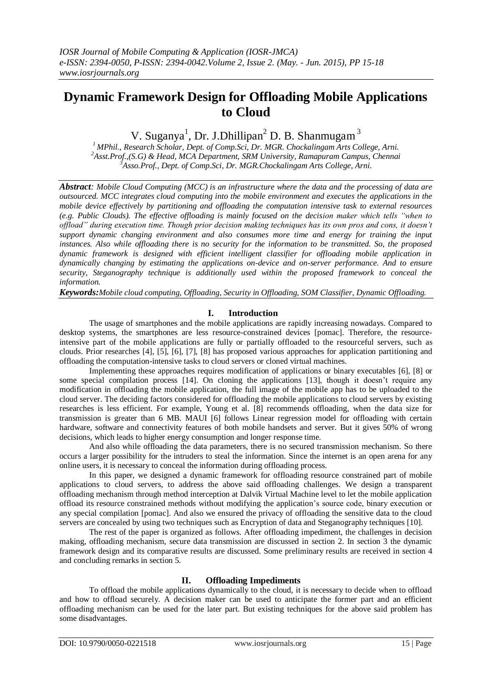# **Dynamic Framework Design for Offloading Mobile Applications to Cloud**

V. Suganya<sup>1</sup>, Dr. J.Dhillipan<sup>2</sup> D. B. Shanmugam<sup>3</sup>

*<sup>1</sup> MPhil., Research Scholar, Dept. of Comp.Sci, Dr. MGR. Chockalingam Arts College, Arni. <sup>2</sup>Asst.Prof.,(S.G) & Head, MCA Department, SRM University, Ramapuram Campus, Chennai <sup>3</sup>Asso.Prof., Dept. of Comp.Sci, Dr. MGR.Chockalingam Arts College, Arni.*

*Abstract: Mobile Cloud Computing (MCC) is an infrastructure where the data and the processing of data are outsourced. MCC integrates cloud computing into the mobile environment and executes the applications in the mobile device effectively by partitioning and offloading the computation intensive task to external resources (e.g. Public Clouds). The effective offloading is mainly focused on the decision maker which tells "when to offload" during execution time. Though prior decision making techniques has its own pros and cons, it doesn't support dynamic changing environment and also consumes more time and energy for training the input instances. Also while offloading there is no security for the information to be transmitted. So, the proposed dynamic framework is designed with efficient intelligent classifier for offloading mobile application in dynamically changing by estimating the applications on-device and on-server performance. And to ensure security, Steganography technique is additionally used within the proposed framework to conceal the information.*

*Keywords:Mobile cloud computing, Offloading, Security in Offloading, SOM Classifier, Dynamic Offloading.*

# **I. Introduction**

The usage of smartphones and the mobile applications are rapidly increasing nowadays. Compared to desktop systems, the smartphones are less resource-constrained devices [pomac]. Therefore, the resourceintensive part of the mobile applications are fully or partially offloaded to the resourceful servers, such as clouds. Prior researches [4], [5], [6], [7], [8] has proposed various approaches for application partitioning and offloading the computation-intensive tasks to cloud servers or cloned virtual machines.

Implementing these approaches requires modification of applications or binary executables [6], [8] or some special compilation process [14]. On cloning the applications [13], though it doesn't require any modification in offloading the mobile application, the full image of the mobile app has to be uploaded to the cloud server. The deciding factors considered for offloading the mobile applications to cloud servers by existing researches is less efficient. For example, Young et al. [8] recommends offloading, when the data size for transmission is greater than 6 MB. MAUI [6] follows Linear regression model for offloading with certain hardware, software and connectivity features of both mobile handsets and server. But it gives 50% of wrong decisions, which leads to higher energy consumption and longer response time.

And also while offloading the data parameters, there is no secured transmission mechanism. So there occurs a larger possibility for the intruders to steal the information. Since the internet is an open arena for any online users, it is necessary to conceal the information during offloading process.

In this paper, we designed a dynamic framework for offloading resource constrained part of mobile applications to cloud servers, to address the above said offloading challenges. We design a transparent offloading mechanism through method interception at Dalvik Virtual Machine level to let the mobile application offload its resource constrained methods without modifying the application's source code, binary execution or any special compilation [pomac]. And also we ensured the privacy of offloading the sensitive data to the cloud servers are concealed by using two techniques such as Encryption of data and Steganography techniques [10].

The rest of the paper is organized as follows. After offloading impediment, the challenges in decision making, offloading mechanism, secure data transmission are discussed in section 2. In section 3 the dynamic framework design and its comparative results are discussed. Some preliminary results are received in section 4 and concluding remarks in section 5.

## **II. Offloading Impediments**

To offload the mobile applications dynamically to the cloud, it is necessary to decide when to offload and how to offload securely. A decision maker can be used to anticipate the former part and an efficient offloading mechanism can be used for the later part. But existing techniques for the above said problem has some disadvantages.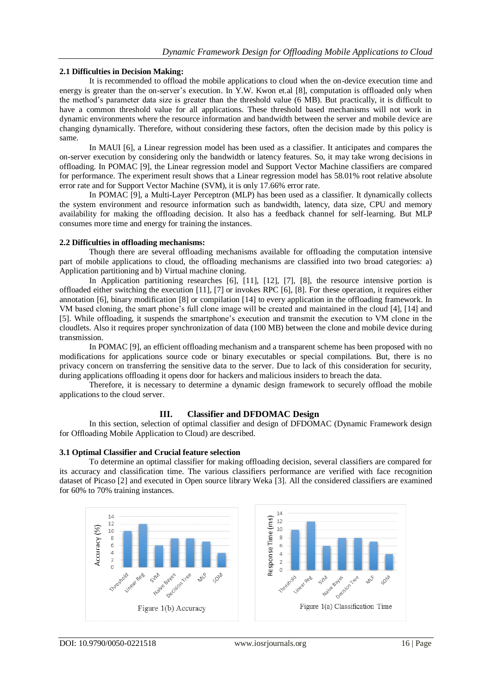## **2.1 Difficulties in Decision Making:**

It is recommended to offload the mobile applications to cloud when the on-device execution time and energy is greater than the on-server's execution. In Y.W. Kwon et.al [8], computation is offloaded only when the method's parameter data size is greater than the threshold value (6 MB). But practically, it is difficult to have a common threshold value for all applications. These threshold based mechanisms will not work in dynamic environments where the resource information and bandwidth between the server and mobile device are changing dynamically. Therefore, without considering these factors, often the decision made by this policy is same.

In MAUI [6], a Linear regression model has been used as a classifier. It anticipates and compares the on-server execution by considering only the bandwidth or latency features. So, it may take wrong decisions in offloading. In POMAC [9], the Linear regression model and Support Vector Machine classifiers are compared for performance. The experiment result shows that a Linear regression model has 58.01% root relative absolute error rate and for Support Vector Machine (SVM), it is only 17.66% error rate.

In POMAC [9], a Multi-Layer Perceptron (MLP) has been used as a classifier. It dynamically collects the system environment and resource information such as bandwidth, latency, data size, CPU and memory availability for making the offloading decision. It also has a feedback channel for self-learning. But MLP consumes more time and energy for training the instances.

## **2.2 Difficulties in offloading mechanisms:**

Though there are several offloading mechanisms available for offloading the computation intensive part of mobile applications to cloud, the offloading mechanisms are classified into two broad categories: a) Application partitioning and b) Virtual machine cloning.

In Application partitioning researches [6], [11], [12], [7], [8], the resource intensive portion is offloaded either switching the execution [11], [7] or invokes RPC [6], [8]. For these operation, it requires either annotation [6], binary modification [8] or compilation [14] to every application in the offloading framework. In VM based cloning, the smart phone's full clone image will be created and maintained in the cloud [4], [14] and [5]. While offloading, it suspends the smartphone's execution and transmit the execution to VM clone in the cloudlets. Also it requires proper synchronization of data (100 MB) between the clone and mobile device during transmission.

In POMAC [9], an efficient offloading mechanism and a transparent scheme has been proposed with no modifications for applications source code or binary executables or special compilations. But, there is no privacy concern on transferring the sensitive data to the server. Due to lack of this consideration for security, during applications offloading it opens door for hackers and malicious insiders to breach the data.

Therefore, it is necessary to determine a dynamic design framework to securely offload the mobile applications to the cloud server.

# **III. Classifier and DFDOMAC Design**

In this section, selection of optimal classifier and design of DFDOMAC (Dynamic Framework design for Offloading Mobile Application to Cloud) are described.

# **3.1 Optimal Classifier and Crucial feature selection**

To determine an optimal classifier for making offloading decision, several classifiers are compared for its accuracy and classification time. The various classifiers performance are verified with face recognition dataset of Picaso [2] and executed in Open source library Weka [3]. All the considered classifiers are examined for 60% to 70% training instances.

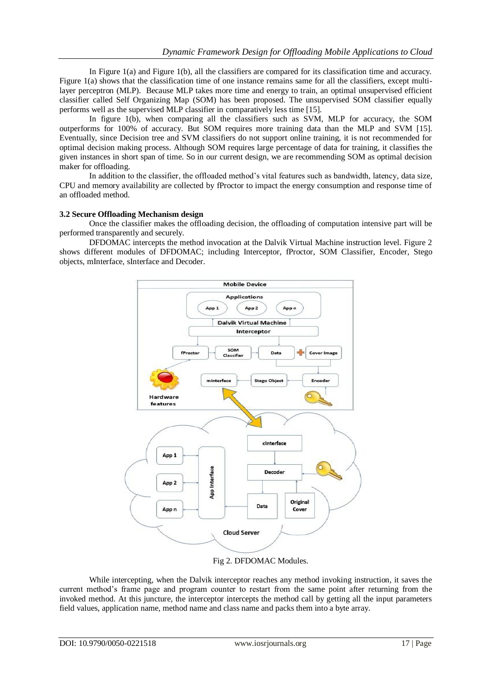In Figure 1(a) and Figure 1(b), all the classifiers are compared for its classification time and accuracy. Figure 1(a) shows that the classification time of one instance remains same for all the classifiers, except multilayer perceptron (MLP). Because MLP takes more time and energy to train, an optimal unsupervised efficient classifier called Self Organizing Map (SOM) has been proposed. The unsupervised SOM classifier equally performs well as the supervised MLP classifier in comparatively less time [15].

In figure 1(b), when comparing all the classifiers such as SVM, MLP for accuracy, the SOM outperforms for 100% of accuracy. But SOM requires more training data than the MLP and SVM [15]. Eventually, since Decision tree and SVM classifiers do not support online training, it is not recommended for optimal decision making process. Although SOM requires large percentage of data for training, it classifies the given instances in short span of time. So in our current design, we are recommending SOM as optimal decision maker for offloading.

In addition to the classifier, the offloaded method's vital features such as bandwidth, latency, data size, CPU and memory availability are collected by fProctor to impact the energy consumption and response time of an offloaded method.

## **3.2 Secure Offloading Mechanism design**

Once the classifier makes the offloading decision, the offloading of computation intensive part will be performed transparently and securely.

DFDOMAC intercepts the method invocation at the Dalvik Virtual Machine instruction level. Figure 2 shows different modules of DFDOMAC; including Interceptor, fProctor, SOM Classifier, Encoder, Stego objects, mInterface, sInterface and Decoder.



Fig 2. DFDOMAC Modules.

While intercepting, when the Dalvik interceptor reaches any method invoking instruction, it saves the current method's frame page and program counter to restart from the same point after returning from the invoked method. At this juncture, the interceptor intercepts the method call by getting all the input parameters field values, application name, method name and class name and packs them into a byte array.